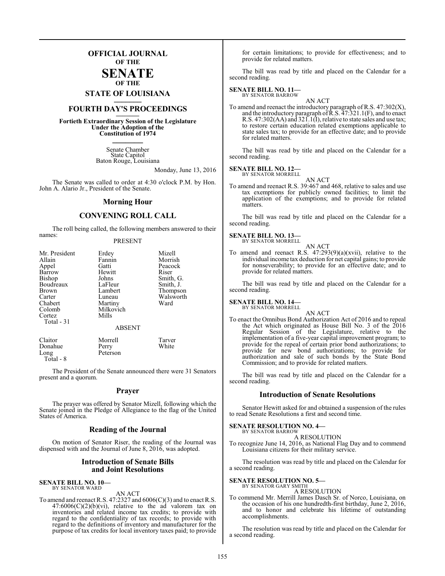### **OFFICIAL JOURNAL OF THE**

#### **SENATE OF THE**

**STATE OF LOUISIANA \_\_\_\_\_\_\_**

### **FOURTH DAY'S PROCEEDINGS \_\_\_\_\_\_\_**

**Fortieth Extraordinary Session of the Legislature Under the Adoption of the Constitution of 1974 \_\_\_\_\_\_\_**

> Senate Chamber State Capitol Baton Rouge, Louisiana

> > Monday, June 13, 2016

The Senate was called to order at 4:30 o'clock P.M. by Hon. John A. Alario Jr., President of the Senate.

#### **Morning Hour**

#### **CONVENING ROLL CALL**

The roll being called, the following members answered to their names:

#### PRESENT

| Mr. President | Erdey         | Mizell    |
|---------------|---------------|-----------|
| Allain        | Fannin        | Morrish   |
| Appel         | Gatti         | Peacock   |
| Barrow        | Hewitt        | Riser     |
| Bishop        | Johns         | Smith, G. |
| Boudreaux     | LaFleur       | Smith, J. |
| Brown         | Lambert       | Thompson  |
| Carter        | Luneau        | Walsworth |
| Chabert       | Martiny       | Ward      |
| Colomb        | Milkovich     |           |
| Cortez        | Mills         |           |
| Total - 31    |               |           |
|               | <b>ABSENT</b> |           |
| Claitor       | Morrell       | Tarver    |
| Donahue       | Perry         | White     |
| Long          | Peterson      |           |

The President of the Senate announced there were 31 Senators present and a quorum.

#### **Prayer**

The prayer was offered by Senator Mizell, following which the Senate joined in the Pledge of Allegiance to the flag of the United States of America.

#### **Reading of the Journal**

On motion of Senator Riser, the reading of the Journal was dispensed with and the Journal of June 8, 2016, was adopted.

#### **Introduction of Senate Bills and Joint Resolutions**

**SENATE BILL NO. 10—** BY SENATOR WARD

Total - 8

#### AN ACT

To amend and reenact R.S. 47:2327 and 6006(C)(3) and to enact R.S.  $47:6006(C)(2)(b)(vi)$ , relative to the ad valorem tax on inventories and related income tax credits; to provide with regard to the confidentiality of tax records; to provide with regard to the definitions of inventory and manufacturer for the purpose of tax credits for local inventory taxes paid; to provide

for certain limitations; to provide for effectiveness; and to provide for related matters.

The bill was read by title and placed on the Calendar for a second reading.

#### **SENATE BILL NO. 11—** BY SENATOR BARROW

AN ACT

To amend and reenact the introductory paragraph of R.S. 47:302(X), and the introductory paragraph of  $\bar{R}$ .S.  $\bar{4}$ 7:321.1(F), and to enact R.S. 47:302(AA) and 321.1(I), relative to state sales and use tax; to restore certain education related exemptions applicable to state sales tax; to provide for an effective date; and to provide for related matters.

The bill was read by title and placed on the Calendar for a second reading.

#### **SENATE BILL NO. 12—** BY SENATOR MORRELL

AN ACT

To amend and reenact R.S. 39:467 and 468, relative to sales and use tax exemptions for publicly owned facilities; to limit the application of the exemptions; and to provide for related matters.

The bill was read by title and placed on the Calendar for a second reading.

#### **SENATE BILL NO. 13—**

BY SENATOR MORRELL AN ACT

To amend and reenact R.S.  $47:293(9)(a)(xvii)$ , relative to the individual income tax deduction for net capital gains; to provide for nonseverability; to provide for an effective date; and to provide for related matters.

The bill was read by title and placed on the Calendar for a second reading.

#### **SENATE BILL NO. 14—** BY SENATOR MORRELL

AN ACT

To enact the Omnibus Bond Authorization Act of 2016 and to repeal the Act which originated as House Bill No. 3 of the 2016 Regular Session of the Legislature, relative to the implementation of a five-year capital improvement program; to provide for the repeal of certain prior bond authorizations; to provide for new bond authorizations; to provide for authorization and sale of such bonds by the State Bond Commission; and to provide for related matters.

The bill was read by title and placed on the Calendar for a second reading.

#### **Introduction of Senate Resolutions**

Senator Hewitt asked for and obtained a suspension of the rules to read Senate Resolutions a first and second time.

#### **SENATE RESOLUTION NO. 4—**

BY SENATOR BARROW A RESOLUTION

To recognize June 14, 2016, as National Flag Day and to commend Louisiana citizens for their military service.

The resolution was read by title and placed on the Calendar for a second reading.

#### **SENATE RESOLUTION NO. 5—** BY SENATOR GARY SMITH

A RESOLUTION

To commend Mr. Merrill James Dasch Sr. of Norco, Louisiana, on the occasion of his one hundredth-first birthday, June 2, 2016, and to honor and celebrate his lifetime of outstanding accomplishments.

The resolution was read by title and placed on the Calendar for a second reading.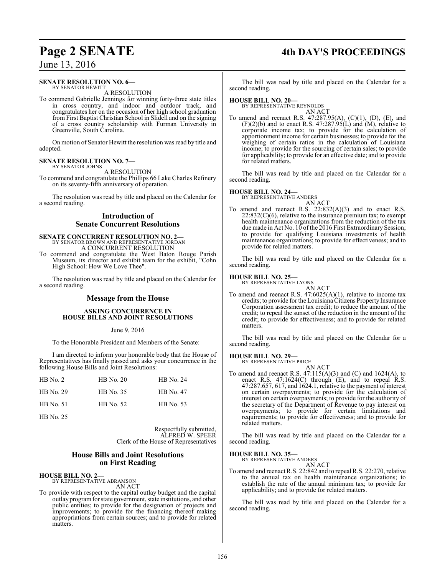### **Page 2 SENATE 4th DAY'S PROCEEDINGS**

June 13, 2016

#### **SENATE RESOLUTION NO. 6—** BY SENATOR HEWITT

A RESOLUTION

To commend Gabrielle Jennings for winning forty-three state titles in cross country, and indoor and outdoor track, and congratulates her on the occasion of her high school graduation from First Baptist Christian School in Slidell and on the signing of a cross country scholarship with Furman University in Greenville, South Carolina.

On motion of Senator Hewitt the resolution was read by title and adopted.

#### **SENATE RESOLUTION NO. 7—** BY SENATOR JOHNS

A RESOLUTION

To commend and congratulate the Phillips 66 Lake Charles Refinery on its seventy-fifth anniversary of operation.

The resolution was read by title and placed on the Calendar for a second reading.

#### **Introduction of Senate Concurrent Resolutions**

# **SENATE CONCURRENT RESOLUTION NO. 2—**<br>BY SENATOR BROWN AND REPRESENTATIVE JORDAN<br>A CONCURRENT RESOLUTION

To commend and congratulate the West Baton Rouge Parish Museum, its director and exhibit team for the exhibit, "Cohn High School: How We Love Thee".

The resolution was read by title and placed on the Calendar for a second reading.

#### **Message from the House**

#### **ASKING CONCURRENCE IN HOUSE BILLS AND JOINT RESOLUTIONS**

#### June 9, 2016

To the Honorable President and Members of the Senate:

I am directed to inform your honorable body that the House of Representatives has finally passed and asks your concurrence in the following House Bills and Joint Resolutions:

| $HB$ No. 2 | <b>HB</b> No. 20 | HB No. 24        |
|------------|------------------|------------------|
| HB No. 29  | HB No. 35        | HB No. 47        |
| HB No. 51  | HB No. 52        | <b>HB</b> No. 53 |

HB No. 25

Respectfully submitted, ALFRED W. SPEER Clerk of the House of Representatives

#### **House Bills and Joint Resolutions on First Reading**

#### **HOUSE BILL NO. 2—**

BY REPRESENTATIVE ABRAMSON AN ACT

To provide with respect to the capital outlay budget and the capital outlay programfor state government, state institutions, and other public entities; to provide for the designation of projects and improvements; to provide for the financing thereof making appropriations from certain sources; and to provide for related matters.

The bill was read by title and placed on the Calendar for a second reading.

#### **HOUSE BILL NO. 20—**

BY REPRESENTATIVE REYNOLDS AN ACT

To amend and reenact R.S. 47:287.95(A), (C)(1), (D), (E), and  $(F)(2)(b)$  and to enact R.S. 47:287.95(L) and  $(M)$ , relative to corporate income tax; to provide for the calculation of apportionment income for certain businesses; to provide for the weighing of certain ratios in the calculation of Louisiana income; to provide for the sourcing of certain sales; to provide for applicability; to provide for an effective date; and to provide for related matters.

The bill was read by title and placed on the Calendar for a second reading.

#### **HOUSE BILL NO. 24—**

BY REPRESENTATIVE ANDERS

- AN ACT
- To amend and reenact R.S. 22:832(A)(3) and to enact R.S.  $22:832(C)(6)$ , relative to the insurance premium tax; to exempt health maintenance organizations from the reduction of the tax due made in Act No. 10 of the 2016 First Extraordinary Session; to provide for qualifying Louisiana investments of health maintenance organizations; to provide for effectiveness; and to provide for related matters.

The bill was read by title and placed on the Calendar for a second reading.

#### **HOUSE BILL NO. 25—**

BY REPRESENTATIVE LYONS AN ACT

To amend and reenact R.S.  $47:6025(A)(1)$ , relative to income tax credits; to provide for the Louisiana Citizens Property Insurance Corporation assessment tax credit; to reduce the amount of the credit; to repeal the sunset of the reduction in the amount of the credit; to provide for effectiveness; and to provide for related matters.

The bill was read by title and placed on the Calendar for a second reading.

#### **HOUSE BILL NO. 29—**

BY REPRESENTATIVE PRICE AN ACT

To amend and reenact R.S.  $47:115(A)(3)$  and  $(C)$  and  $1624(A)$ , to enact R.S.  $47:1624(C)$  through  $(E)$ , and to repeal  $\hat{R}$ .S. 47:287.657, 617, and 1624.1, relative to the payment of interest on certain overpayments; to provide for the calculation of interest on certain overpayments; to provide for the authority of the secretary of the Department of Revenue to pay interest on overpayments; to provide for certain limitations and requirements; to provide for effectiveness; and to provide for related matters.

The bill was read by title and placed on the Calendar for a second reading.

#### **HOUSE BILL NO. 35—**

BY REPRESENTATIVE ANDERS AN ACT

To amend and reenact R.S. 22:842 and to repeal R.S. 22:270, relative to the annual tax on health maintenance organizations; to establish the rate of the annual minimum tax; to provide for applicability; and to provide for related matters.

The bill was read by title and placed on the Calendar for a second reading.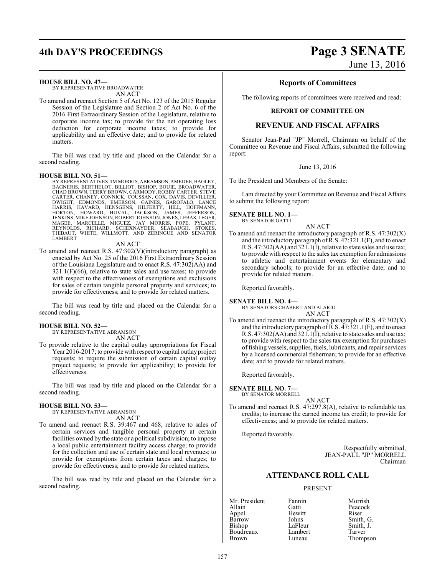# **4th DAY'S PROCEEDINGS Page 3 SENATE**

#### **HOUSE BILL NO. 47—**

BY REPRESENTATIVE BROADWATER AN ACT

To amend and reenact Section 5 of Act No. 123 of the 2015 Regular Session of the Legislature and Section 2 of Act No. 6 of the 2016 First Extraordinary Session of the Legislature, relative to corporate income tax; to provide for the net operating loss deduction for corporate income taxes; to provide for applicability and an effective date; and to provide for related matters.

The bill was read by title and placed on the Calendar for a second reading.

#### **HOUSE BILL NO. 51—**

BY REPRESENTATIVES JIM MORRIS, ABRAMSON, AMEDEE, BAGLEY,<br>BAGNERIS, BERTHELOT, BILLIOT, BISHOP, BOUIE, BROADWATER,<br>CHAD BROWN, TERRY BROWN, CARMODY, ROBBY CARTER, STEVE CARTER, CHANEY, CONNICK, COUSSAN, COX, DAVIS, DEVILLIER,<br>DWIGHT, EDMONDS, EMERSON, GAINES, GARGFALO, LANCE<br>HARRIS, HAVARD, HENSGENS, HILFERTY, HILL, HOFMANN,<br>HORTON, HOWARD, HUVAL, JACKSON, JAMES, JEFFERSON,<br>JENKINS,MIKEJO MAGEE, MARCELLE, MIGUEZ, JAY MORRIS, POPE, PYLANT, REYNOLDS, RICHARD, SCHEXNAYDER, SEABAUGH, STOKES, THIBAUT, WHITE, WILLMOTT, AND ZERINGUE AND SENATOR LAMBERT

#### AN ACT

To amend and reenact R.S. 47:302(V)(introductory paragraph) as enacted by Act No. 25 of the 2016 First Extraordinary Session of the Louisiana Legislature and to enact R.S. 47:302(AA) and  $321.1(F)(66)$ , relative to state sales and use taxes; to provide with respect to the effectiveness of exemptions and exclusions for sales of certain tangible personal property and services; to provide for effectiveness; and to provide for related matters.

The bill was read by title and placed on the Calendar for a second reading.

#### **HOUSE BILL NO. 52—**

BY REPRESENTATIVE ABRAMSON AN ACT

To provide relative to the capital outlay appropriations for Fiscal Year 2016-2017; to provide with respect to capital outlay project requests; to require the submission of certain capital outlay project requests; to provide for applicability; to provide for effectiveness.

The bill was read by title and placed on the Calendar for a second reading.

#### **HOUSE BILL NO. 53—**

BY REPRESENTATIVE ABRAMSON

AN ACT To amend and reenact R.S. 39:467 and 468, relative to sales of certain services and tangible personal property at certain facilities owned by the state or a political subdivision; to impose a local public entertainment facility access charge; to provide for the collection and use of certain state and local revenues; to provide for exemptions from certain taxes and charges; to

provide for effectiveness; and to provide for related matters. The bill was read by title and placed on the Calendar for a second reading.

### **Reports of Committees**

The following reports of committees were received and read:

#### **REPORT OF COMMITTEE ON**

#### **REVENUE AND FISCAL AFFAIRS**

Senator Jean-Paul "JP" Morrell, Chairman on behalf of the Committee on Revenue and Fiscal Affairs, submitted the following report:

June 13, 2016

To the President and Members of the Senate:

I am directed by your Committee on Revenue and Fiscal Affairs to submit the following report:

#### **SENATE BILL NO. 1—** BY SENATOR GATTI

AN ACT

To amend and reenact the introductory paragraph of R.S.  $47:302(X)$ and the introductory paragraph of  $\overline{R}$ . S.  $\overline{47:321.1(F)}$ , and to enact R.S. 47:302(AA) and 321.1(I), relative to state sales and use tax; to provide with respect to the sales tax exemption for admissions to athletic and entertainment events for elementary and secondary schools; to provide for an effective date; and to provide for related matters.

Reported favorably.

**SENATE BILL NO. 4—** BY SENATORS CHABERT AND ALARIO

AN ACT

To amend and reenact the introductory paragraph of R.S.  $47:302(X)$ and the introductory paragraph of  $\overline{R}$ .S.  $\overline{47:321.1(F)}$ , and to enact R.S. 47:302(AA) and 321.1(I), relative to state sales and use tax; to provide with respect to the sales tax exemption for purchases of fishing vessels, supplies, fuels, lubricants, and repair services by a licensed commercial fisherman; to provide for an effective date; and to provide for related matters.

Reported favorably.

**SENATE BILL NO. 7—** BY SENATOR MORRELL

AN ACT To amend and reenact R.S. 47:297.8(A), relative to refundable tax credits; to increase the earned income tax credit; to provide for effectiveness; and to provide for related matters.

Reported favorably.

Respectfully submitted, JEAN-PAUL "JP" MORRELL Chairman

### **ATTENDANCE ROLL CALL**

#### PRESENT

Appel Hewitt Riser Barrow Johns Smith, G.<br>Bishop LaFleur Smith, J. Boudreaux Lambert<br>Brown Luneau

Mr. President Fannin Morrish<br>Allain Gatti Peacock Gatti Peacock<br>
Hewitt Riser LaFleur Smith, J.<br>Lambert Tarver Thompson

June 13, 2016